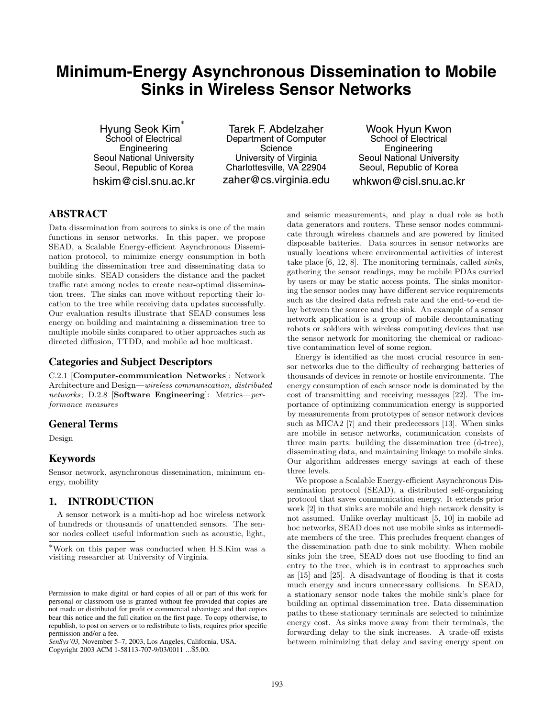# **Minimum-Energy Asynchronous Dissemination to Mobile Sinks in Wireless Sensor Networks**

Hyung Seok Kim ∗ School of Electrical Engineering Seoul National University Seoul, Republic of Korea hskim@cisl.snu.ac.kr

Tarek F. Abdelzaher Department of Computer **Science** University of Virginia Charlottesville, VA 22904 zaher@cs.virginia.edu

Wook Hyun Kwon School of Electrical **Engineering** Seoul National University Seoul, Republic of Korea whkwon@cisl.snu.ac.kr

# **ABSTRACT**

Data dissemination from sources to sinks is one of the main functions in sensor networks. In this paper, we propose SEAD, a Scalable Energy-efficient Asynchronous Dissemination protocol, to minimize energy consumption in both building the dissemination tree and disseminating data to mobile sinks. SEAD considers the distance and the packet traffic rate among nodes to create near-optimal dissemination trees. The sinks can move without reporting their location to the tree while receiving data updates successfully. Our evaluation results illustrate that SEAD consumes less energy on building and maintaining a dissemination tree to multiple mobile sinks compared to other approaches such as directed diffusion, TTDD, and mobile ad hoc multicast.

# **Categories and Subject Descriptors**

C.2.1 [Computer-communication Networks]: Network Architecture and Design—*wireless communication, distributed networks*; D.2.8 [Software Engineering]: Metrics—*performance measures*

# **General Terms**

Design

# **Keywords**

Sensor network, asynchronous dissemination, minimum energy, mobility

# **1. INTRODUCTION**

A sensor network is a multi-hop ad hoc wireless network of hundreds or thousands of unattended sensors. The sensor nodes collect useful information such as acoustic, light,

Copyright 2003 ACM 1-58113-707-9/03/0011 ...\$5.00.

and seismic measurements, and play a dual role as both data generators and routers. These sensor nodes communicate through wireless channels and are powered by limited disposable batteries. Data sources in sensor networks are usually locations where environmental activities of interest take place [6, 12, 8]. The monitoring terminals, called *sinks*, gathering the sensor readings, may be mobile PDAs carried by users or may be static access points. The sinks monitoring the sensor nodes may have different service requirements such as the desired data refresh rate and the end-to-end delay between the source and the sink. An example of a sensor network application is a group of mobile decontaminating robots or soldiers with wireless computing devices that use the sensor network for monitoring the chemical or radioactive contamination level of some region.

Energy is identified as the most crucial resource in sensor networks due to the difficulty of recharging batteries of thousands of devices in remote or hostile environments. The energy consumption of each sensor node is dominated by the cost of transmitting and receiving messages [22]. The importance of optimizing communication energy is supported by measurements from prototypes of sensor network devices such as MICA2 [7] and their predecessors [13]. When sinks are mobile in sensor networks, communication consists of three main parts: building the dissemination tree (d-tree), disseminating data, and maintaining linkage to mobile sinks. Our algorithm addresses energy savings at each of these three levels.

We propose a Scalable Energy-efficient Asynchronous Dissemination protocol (SEAD), a distributed self-organizing protocol that saves communication energy. It extends prior work [2] in that sinks are mobile and high network density is not assumed. Unlike overlay multicast [5, 10] in mobile ad hoc networks, SEAD does not use mobile sinks as intermediate members of the tree. This precludes frequent changes of the dissemination path due to sink mobility. When mobile sinks join the tree, SEAD does not use flooding to find an entry to the tree, which is in contrast to approaches such as [15] and [25]. A disadvantage of flooding is that it costs much energy and incurs unnecessary collisions. In SEAD, a stationary sensor node takes the mobile sink's place for building an optimal dissemination tree. Data dissemination paths to these stationary terminals are selected to minimize energy cost. As sinks move away from their terminals, the forwarding delay to the sink increases. A trade-off exists between minimizing that delay and saving energy spent on

<sup>∗</sup>Work on this paper was conducted when H.S.Kim was a visiting researcher at University of Virginia.

Permission to make digital or hard copies of all or part of this work for personal or classroom use is granted without fee provided that copies are not made or distributed for profit or commercial advantage and that copies bear this notice and the full citation on the first page. To copy otherwise, to republish, to post on servers or to redistribute to lists, requires prior specific permission and/or a fee.

*SenSys'03,* November 5–7, 2003, Los Angeles, California, USA.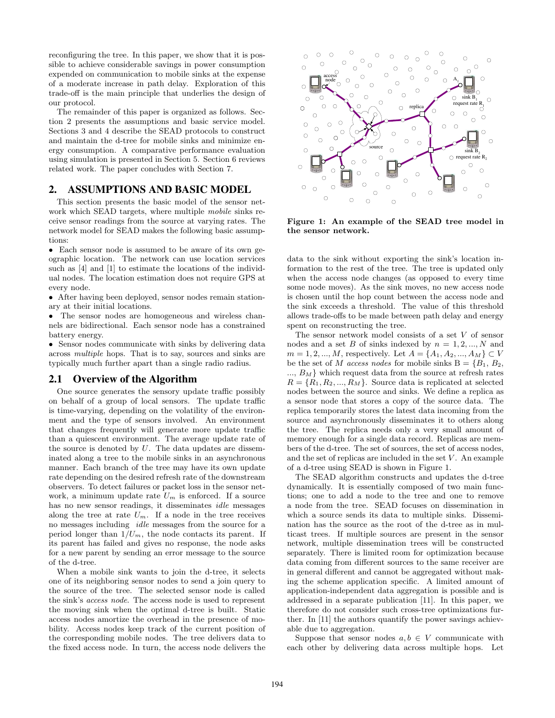reconfiguring the tree. In this paper, we show that it is possible to achieve considerable savings in power consumption expended on communication to mobile sinks at the expense of a moderate increase in path delay. Exploration of this trade-off is the main principle that underlies the design of our protocol.

The remainder of this paper is organized as follows. Section 2 presents the assumptions and basic service model. Sections 3 and 4 describe the SEAD protocols to construct and maintain the d-tree for mobile sinks and minimize energy consumption. A comparative performance evaluation using simulation is presented in Section 5. Section 6 reviews related work. The paper concludes with Section 7.

## **2. ASSUMPTIONS AND BASIC MODEL**

This section presents the basic model of the sensor network which SEAD targets, where multiple *mobile* sinks receive sensor readings from the source at varying rates. The network model for SEAD makes the following basic assumptions:

• Each sensor node is assumed to be aware of its own geographic location. The network can use location services such as [4] and [1] to estimate the locations of the individual nodes. The location estimation does not require GPS at every node.

• After having been deployed, sensor nodes remain stationary at their initial locations.

The sensor nodes are homogeneous and wireless channels are bidirectional. Each sensor node has a constrained battery energy.

• Sensor nodes communicate with sinks by delivering data across *multiple* hops. That is to say, sources and sinks are typically much further apart than a single radio radius.

#### **2.1 Overview of the Algorithm**

One source generates the sensory update traffic possibly on behalf of a group of local sensors. The update traffic is time-varying, depending on the volatility of the environment and the type of sensors involved. An environment that changes frequently will generate more update traffic than a quiescent environment. The average update rate of the source is denoted by  $U$ . The data updates are disseminated along a tree to the mobile sinks in an asynchronous manner. Each branch of the tree may have its own update rate depending on the desired refresh rate of the downstream observers. To detect failures or packet loss in the sensor network, a minimum update rate  $U_m$  is enforced. If a source has no new sensor readings, it disseminates *idle* messages along the tree at rate  $U_m$ . If a node in the tree receives no messages including *idle* messages from the source for a period longer than  $1/U_m$ , the node contacts its parent. If its parent has failed and gives no response, the node asks for a new parent by sending an error message to the source of the d-tree.

When a mobile sink wants to join the d-tree, it selects one of its neighboring sensor nodes to send a join query to the source of the tree. The selected sensor node is called the sink's *access node*. The access node is used to represent the moving sink when the optimal d-tree is built. Static access nodes amortize the overhead in the presence of mobility. Access nodes keep track of the current position of the corresponding mobile nodes. The tree delivers data to the fixed access node. In turn, the access node delivers the



Figure 1: An example of the SEAD tree model in the sensor network.

data to the sink without exporting the sink's location information to the rest of the tree. The tree is updated only when the access node changes (as opposed to every time some node moves). As the sink moves, no new access node is chosen until the hop count between the access node and the sink exceeds a threshold. The value of this threshold allows trade-offs to be made between path delay and energy spent on reconstructing the tree.

The sensor network model consists of a set V of sensor nodes and a set B of sinks indexed by  $n = 1, 2, ..., N$  and  $m = 1, 2, ..., M$ , respectively. Let  $A = \{A_1, A_2, ..., A_M\} \subset V$ be the set of M *access nodes* for mobile sinks  $B = \{B_1, B_2,$  $..., B<sub>M</sub>$  which request data from the source at refresh rates  $R = \{R_1, R_2, ..., R_M\}$ . Source data is replicated at selected nodes between the source and sinks. We define a replica as a sensor node that stores a copy of the source data. The replica temporarily stores the latest data incoming from the source and asynchronously disseminates it to others along the tree. The replica needs only a very small amount of memory enough for a single data record. Replicas are members of the d-tree. The set of sources, the set of access nodes, and the set of replicas are included in the set  $V$ . An example of a d-tree using SEAD is shown in Figure 1.

The SEAD algorithm constructs and updates the d-tree dynamically. It is essentially composed of two main functions; one to add a node to the tree and one to remove a node from the tree. SEAD focuses on dissemination in which a source sends its data to multiple sinks. Dissemination has the source as the root of the d-tree as in multicast trees. If multiple sources are present in the sensor network, multiple dissemination trees will be constructed separately. There is limited room for optimization because data coming from different sources to the same receiver are in general different and cannot be aggregated without making the scheme application specific. A limited amount of application-independent data aggregation is possible and is addressed in a separate publication [11]. In this paper, we therefore do not consider such cross-tree optimizations further. In [11] the authors quantify the power savings achievable due to aggregation.

Suppose that sensor nodes  $a, b \in V$  communicate with each other by delivering data across multiple hops. Let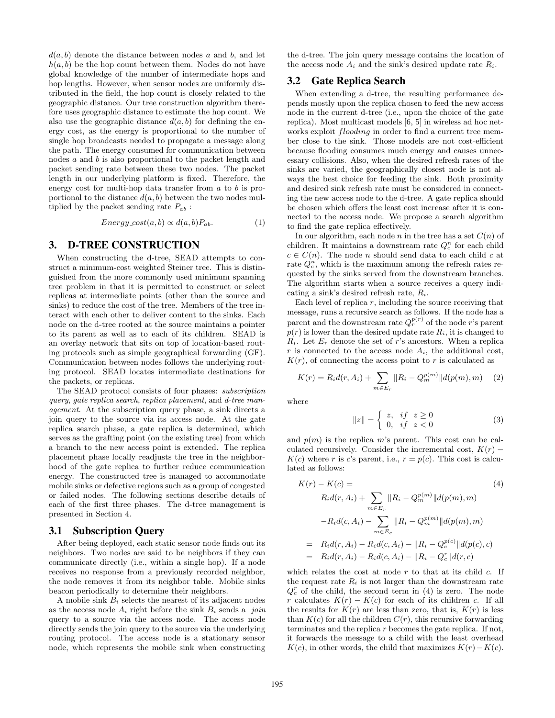$d(a, b)$  denote the distance between nodes a and b, and let  $h(a, b)$  be the hop count between them. Nodes do not have global knowledge of the number of intermediate hops and hop lengths. However, when sensor nodes are uniformly distributed in the field, the hop count is closely related to the geographic distance. Our tree construction algorithm therefore uses geographic distance to estimate the hop count. We also use the geographic distance  $d(a, b)$  for defining the energy cost, as the energy is proportional to the number of single hop broadcasts needed to propagate a message along the path. The energy consumed for communication between nodes a and b is also proportional to the packet length and packet sending rate between these two nodes. The packet length in our underlying platform is fixed. Therefore, the energy cost for multi-hop data transfer from a to b is proportional to the distance  $d(a, b)$  between the two nodes multiplied by the packet sending rate  $P_{ab}$ :

$$
Energy\ cost(a, b) \propto d(a, b) P_{ab}.\tag{1}
$$

# **3. D-TREE CONSTRUCTION**

When constructing the d-tree, SEAD attempts to construct a minimum-cost weighted Steiner tree. This is distinguished from the more commonly used minimum spanning tree problem in that it is permitted to construct or select replicas at intermediate points (other than the source and sinks) to reduce the cost of the tree. Members of the tree interact with each other to deliver content to the sinks. Each node on the d-tree rooted at the source maintains a pointer to its parent as well as to each of its children. SEAD is an overlay network that sits on top of location-based routing protocols such as simple geographical forwarding (GF). Communication between nodes follows the underlying routing protocol. SEAD locates intermediate destinations for the packets, or replicas.

The SEAD protocol consists of four phases: *subscription query*, *gate replica search*, *replica placement*, and *d-tree management*. At the subscription query phase, a sink directs a join query to the source via its access node. At the gate replica search phase, a gate replica is determined, which serves as the grafting point (on the existing tree) from which a branch to the new access point is extended. The replica placement phase locally readjusts the tree in the neighborhood of the gate replica to further reduce communication energy. The constructed tree is managed to accommodate mobile sinks or defective regions such as a group of congested or failed nodes. The following sections describe details of each of the first three phases. The d-tree management is presented in Section 4.

#### **3.1 Subscription Query**

After being deployed, each static sensor node finds out its neighbors. Two nodes are said to be neighbors if they can communicate directly (i.e., within a single hop). If a node receives no response from a previously recorded neighbor, the node removes it from its neighbor table. Mobile sinks beacon periodically to determine their neighbors.

A mobile sink  $B_i$  selects the nearest of its adjacent nodes as the access node  $A_i$  right before the sink  $B_i$  sends a *join* query to a source via the access node. The access node directly sends the join query to the source via the underlying routing protocol. The access node is a stationary sensor node, which represents the mobile sink when constructing the d-tree. The join query message contains the location of the access node  $A_i$  and the sink's desired update rate  $R_i$ .

## **3.2 Gate Replica Search**

When extending a d-tree, the resulting performance depends mostly upon the replica chosen to feed the new access node in the current d-tree (i.e., upon the choice of the gate replica). Most multicast models [6, 5] in wireless ad hoc networks exploit *flooding* in order to find a current tree member close to the sink. Those models are not cost-efficient because flooding consumes much energy and causes unnecessary collisions. Also, when the desired refresh rates of the sinks are varied, the geographically closest node is not always the best choice for feeding the sink. Both proximity and desired sink refresh rate must be considered in connecting the new access node to the d-tree. A gate replica should be chosen which offers the least cost increase after it is connected to the access node. We propose a search algorithm to find the gate replica effectively.

In our algorithm, each node n in the tree has a set  $C(n)$  of children. It maintains a downstream rate  $Q_c^n$  for each child  $c \in C(n)$ . The node *n* should send data to each child *c* at rate  $Q_c^n$ , which is the maximum among the refresh rates requested by the sinks served from the downstream branches. The algorithm starts when a source receives a query indicating a sink's desired refresh rate,  $R_i$ .

Each level of replica  $r$ , including the source receiving that message, runs a recursive search as follows. If the node has a parent and the downstream rate  $Q_r^{p(r)}$  of the node r's parent  $p(r)$  is lower than the desired update rate  $R_i$ , it is changed to  $R_i$ . Let  $E_r$  denote the set of r's ancestors. When a replica r is connected to the access node  $A_i$ , the additional cost,  $K(r)$ , of connecting the access point to r is calculated as

$$
K(r) = R_i d(r, A_i) + \sum_{m \in E_r} ||R_i - Q_m^{p(m)}|| d(p(m), m) \quad (2)
$$

where

$$
||z|| = \begin{cases} z, & if \ z \ge 0 \\ 0, & if \ z < 0 \end{cases}
$$
 (3)

and  $p(m)$  is the replica m's parent. This cost can be calculated recursively. Consider the incremental cost,  $K(r)$  –  $K(c)$  where r is c's parent, i.e.,  $r = p(c)$ . This cost is calculated as follows:

$$
K(r) - K(c) =
$$
\n
$$
R_i d(r, A_i) + \sum_{m \in E_r} ||R_i - Q_m^{p(m)}||d(p(m), m)
$$
\n
$$
-R_i d(c, A_i) - \sum_{m \in E_c} ||R_i - Q_m^{p(m)}||d(p(m), m)
$$
\n
$$
= R_i d(r, A_i) - R_i d(c, A_i) - ||R_i - Q_c^{p(c)}||d(p(c), c)
$$
\n
$$
= R_i d(r, A_i) - R_i d(c, A_i) - ||R_i - Q_c^{p(c)}||d(r, c)
$$
\n(4)

which relates the cost at node  $r$  to that at its child  $c$ . If the request rate  $R_i$  is not larger than the downstream rate  $Q_c^r$  of the child, the second term in (4) is zero. The node r calculates  $K(r) - K(c)$  for each of its children c. If all the results for  $K(r)$  are less than zero, that is,  $K(r)$  is less than  $K(c)$  for all the children  $C(r)$ , this recursive forwarding terminates and the replica r becomes the gate replica. If not, it forwards the message to a child with the least overhead  $K(c)$ , in other words, the child that maximizes  $K(r) - K(c)$ .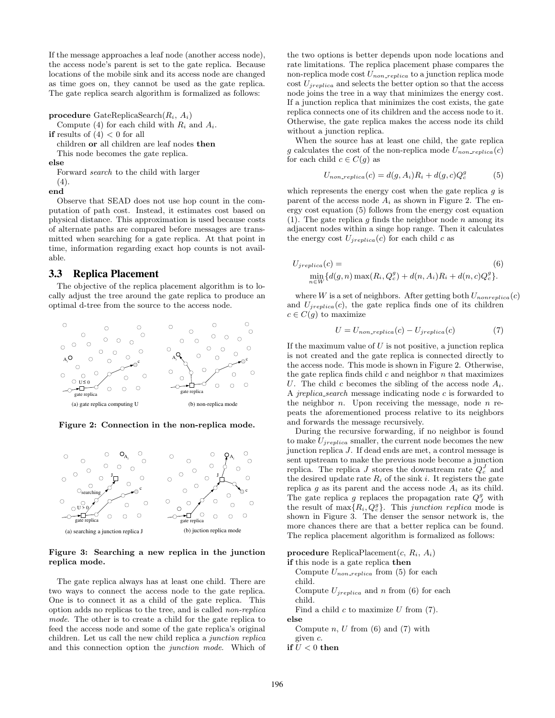If the message approaches a leaf node (another access node), the access node's parent is set to the gate replica. Because locations of the mobile sink and its access node are changed as time goes on, they cannot be used as the gate replica. The gate replica search algorithm is formalized as follows:

procedure GateReplicaSearch $(R_i, A_i)$ 

Compute (4) for each child with  $R_i$  and  $A_i$ .

if results of  $(4) < 0$  for all

children or all children are leaf nodes then

This node becomes the gate replica.

else

Forward *search* to the child with larger (4).

end

Observe that SEAD does not use hop count in the computation of path cost. Instead, it estimates cost based on physical distance. This approximation is used because costs of alternate paths are compared before messages are transmitted when searching for a gate replica. At that point in time, information regarding exact hop counts is not available.

## **3.3 Replica Placement**

The objective of the replica placement algorithm is to locally adjust the tree around the gate replica to produce an optimal d-tree from the source to the access node.



Figure 2: Connection in the non-replica mode.



#### Figure 3: Searching a new replica in the junction replica mode.

The gate replica always has at least one child. There are two ways to connect the access node to the gate replica. One is to connect it as a child of the gate replica. This option adds no replicas to the tree, and is called *non-replica mode*. The other is to create a child for the gate replica to feed the access node and some of the gate replica's original children. Let us call the new child replica a *junction replica* and this connection option the *junction mode*. Which of

the two options is better depends upon node locations and rate limitations. The replica placement phase compares the non-replica mode cost  $U_{non-replica}$  to a junction replica mode cost  $U_{jreplica}$  and selects the better option so that the access node joins the tree in a way that minimizes the energy cost. If a junction replica that minimizes the cost exists, the gate replica connects one of its children and the access node to it. Otherwise, the gate replica makes the access node its child without a junction replica.

When the source has at least one child, the gate replica g calculates the cost of the non-replica mode  $U_{non\; replica}(c)$ for each child  $c \in C(g)$  as

$$
U_{non\; replica}(c) = d(g, A_i)R_i + d(g, c)Q_c^g \tag{5}
$$

which represents the energy cost when the gate replica  $q$  is parent of the access node  $A_i$  as shown in Figure 2. The energy cost equation (5) follows from the energy cost equation (1). The gate replica  $g$  finds the neighbor node  $n$  among its adjacent nodes within a singe hop range. Then it calculates the energy cost  $U_{ireplica}(c)$  for each child c as

$$
U_{jreplica}(c) =
$$
  
\n
$$
\min_{n \in W} \{d(g, n) \max(R_i, Q_c^g) + d(n, A_i)R_i + d(n, c)Q_c^g\}.
$$
\n(6)

where W is a set of neighbors. After getting both  $U_{nonreplica}(c)$ and  $U_{ireplica}(c)$ , the gate replica finds one of its children  $c \in C(g)$  to maximize

$$
U = U_{non-replica}(c) - U_{jreplica}(c)
$$
 (7)

If the maximum value of  $U$  is not positive, a junction replica is not created and the gate replica is connected directly to the access node. This mode is shown in Figure 2. Otherwise, the gate replica finds child  $c$  and neighbor  $n$  that maximizes U. The child c becomes the sibling of the access node  $A_i$ . A *jreplica search* message indicating node c is forwarded to the neighbor  $n$ . Upon receiving the message, node  $n$  repeats the aforementioned process relative to its neighbors and forwards the message recursively.

During the recursive forwarding, if no neighbor is found to make  $U_{ireplica}$  smaller, the current node becomes the new junction replica J. If dead ends are met, a control message is sent upstream to make the previous node become a junction replica. The replica  $J$  stores the downstream rate  $Q_c^J$  and the desired update rate  $R_i$  of the sink i. It registers the gate replica g as its parent and the access node  $A_i$  as its child. The gate replica g replaces the propagation rate  $Q_J^g$  with the result of  $\max\{R_i, Q_c^g\}$ . This junction replica mode is shown in Figure 3. The denser the sensor network is, the more chances there are that a better replica can be found. The replica placement algorithm is formalized as follows:

procedure ReplicaPlacement $(c, R_i, A_i)$ 

if this node is a gate replica then Compute  $U_{non-replica}$  from (5) for each child. Compute  $U_{ireplica}$  and n from (6) for each child. Find a child  $c$  to maximize  $U$  from  $(7)$ . else Compute  $n, U$  from  $(6)$  and  $(7)$  with given c. if  $U < 0$  then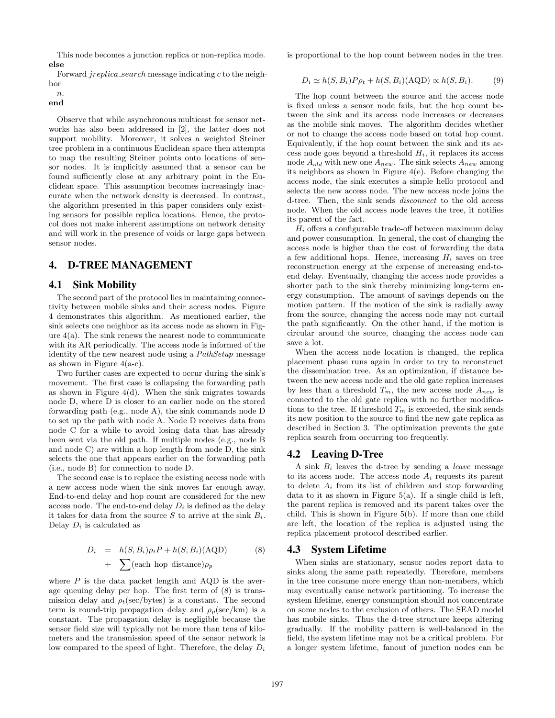This node becomes a junction replica or non-replica mode. else

Forward jreplica search message indicating c to the neighbor

 $n$ end

Observe that while asynchronous multicast for sensor networks has also been addressed in [2], the latter does not support mobility. Moreover, it solves a weighted Steiner tree problem in a continuous Euclidean space then attempts to map the resulting Steiner points onto locations of sensor nodes. It is implicitly assumed that a sensor can be found sufficiently close at any arbitrary point in the Euclidean space. This assumption becomes increasingly inaccurate when the network density is decreased. In contrast, the algorithm presented in this paper considers only existing sensors for possible replica locations. Hence, the protocol does not make inherent assumptions on network density and will work in the presence of voids or large gaps between sensor nodes.

# **4. D-TREE MANAGEMENT**

## **4.1 Sink Mobility**

The second part of the protocol lies in maintaining connectivity between mobile sinks and their access nodes. Figure 4 demonstrates this algorithm. As mentioned earlier, the sink selects one neighbor as its access node as shown in Figure  $4(a)$ . The sink renews the nearest node to communicate with its AR periodically. The access node is informed of the identity of the new nearest node using a *PathSetup* message as shown in Figure  $4(a-c)$ .

Two further cases are expected to occur during the sink's movement. The first case is collapsing the forwarding path as shown in Figure  $4(d)$ . When the sink migrates towards node D, where D is closer to an earlier node on the stored forwarding path (e.g., node A), the sink commands node D to set up the path with node A. Node D receives data from node C for a while to avoid losing data that has already been sent via the old path. If multiple nodes (e.g., node B and node C) are within a hop length from node D, the sink selects the one that appears earlier on the forwarding path (i.e., node B) for connection to node D.

The second case is to replace the existing access node with a new access node when the sink moves far enough away. End-to-end delay and hop count are considered for the new access node. The end-to-end delay  $D_i$  is defined as the delay it takes for data from the source S to arrive at the sink  $B_i$ . Delay  $D_i$  is calculated as

$$
D_i = h(S, B_i)\rho_t P + h(S, B_i)(\text{AQD})
$$
  
+ 
$$
\sum (\text{each hop distance})\rho_p
$$
 (8)

where  $P$  is the data packet length and AQD is the average queuing delay per hop. The first term of (8) is transmission delay and  $\rho_t(\text{sec}/\text{bytes})$  is a constant. The second term is round-trip propagation delay and  $\rho_p(\text{sec}/\text{km})$  is a constant. The propagation delay is negligible because the sensor field size will typically not be more than tens of kilometers and the transmission speed of the sensor network is low compared to the speed of light. Therefore, the delay  $D_i$  is proportional to the hop count between nodes in the tree.

$$
D_i \simeq h(S, B_i) P \rho_t + h(S, B_i) (\text{AQD}) \propto h(S, B_i). \tag{9}
$$

The hop count between the source and the access node is fixed unless a sensor node fails, but the hop count between the sink and its access node increases or decreases as the mobile sink moves. The algorithm decides whether or not to change the access node based on total hop count. Equivalently, if the hop count between the sink and its access node goes beyond a threshold  $H_i$ , it replaces its access node  $A_{old}$  with new one  $A_{new}$ . The sink selects  $A_{new}$  among its neighbors as shown in Figure 4(e). Before changing the access node, the sink executes a simple hello protocol and selects the new access node. The new access node joins the d-tree. Then, the sink sends *disconnect* to the old access node. When the old access node leaves the tree, it notifies its parent of the fact.

 $H_i$  offers a configurable trade-off between maximum delay and power consumption. In general, the cost of changing the access node is higher than the cost of forwarding the data a few additional hops. Hence, increasing  $H_i$  saves on tree reconstruction energy at the expense of increasing end-toend delay. Eventually, changing the access node provides a shorter path to the sink thereby minimizing long-term energy consumption. The amount of savings depends on the motion pattern. If the motion of the sink is radially away from the source, changing the access node may not curtail the path significantly. On the other hand, if the motion is circular around the source, changing the access node can save a lot.

When the access node location is changed, the replica placement phase runs again in order to try to reconstruct the dissemination tree. As an optimization, if distance between the new access node and the old gate replica increases by less than a threshold  $T_m$ , the new access node  $A_{new}$  is connected to the old gate replica with no further modifications to the tree. If threshold  $T_m$  is exceeded, the sink sends its new position to the source to find the new gate replica as described in Section 3. The optimization prevents the gate replica search from occurring too frequently.

#### **4.2 Leaving D-Tree**

A sink B<sup>i</sup> leaves the d-tree by sending a *leave* message to its access node. The access node  $A_i$  requests its parent to delete  $A_i$  from its list of children and stop forwarding data to it as shown in Figure 5(a). If a single child is left, the parent replica is removed and its parent takes over the child. This is shown in Figure 5(b). If more than one child are left, the location of the replica is adjusted using the replica placement protocol described earlier.

#### **4.3 System Lifetime**

When sinks are stationary, sensor nodes report data to sinks along the same path repeatedly. Therefore, members in the tree consume more energy than non-members, which may eventually cause network partitioning. To increase the system lifetime, energy consumption should not concentrate on some nodes to the exclusion of others. The SEAD model has mobile sinks. Thus the d-tree structure keeps altering gradually. If the mobility pattern is well-balanced in the field, the system lifetime may not be a critical problem. For a longer system lifetime, fanout of junction nodes can be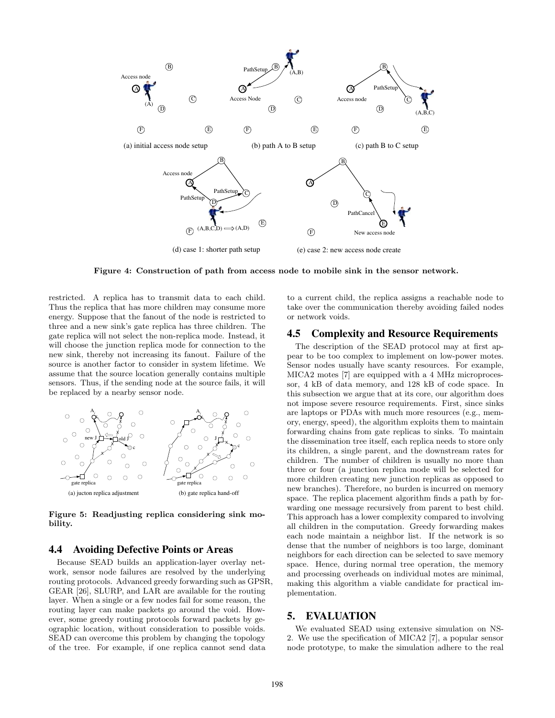

Figure 4: Construction of path from access node to mobile sink in the sensor network.

restricted. A replica has to transmit data to each child. Thus the replica that has more children may consume more energy. Suppose that the fanout of the node is restricted to three and a new sink's gate replica has three children. The gate replica will not select the non-replica mode. Instead, it will choose the junction replica mode for connection to the new sink, thereby not increasing its fanout. Failure of the source is another factor to consider in system lifetime. We assume that the source location generally contains multiple sensors. Thus, if the sending node at the source fails, it will be replaced by a nearby sensor node.



Figure 5: Readjusting replica considering sink mobility.

#### **4.4 Avoiding Defective Points or Areas**

Because SEAD builds an application-layer overlay network, sensor node failures are resolved by the underlying routing protocols. Advanced greedy forwarding such as GPSR, GEAR [26], SLURP, and LAR are available for the routing layer. When a single or a few nodes fail for some reason, the routing layer can make packets go around the void. However, some greedy routing protocols forward packets by geographic location, without consideration to possible voids. SEAD can overcome this problem by changing the topology of the tree. For example, if one replica cannot send data

to a current child, the replica assigns a reachable node to take over the communication thereby avoiding failed nodes or network voids.

# **4.5 Complexity and Resource Requirements**

The description of the SEAD protocol may at first appear to be too complex to implement on low-power motes. Sensor nodes usually have scanty resources. For example, MICA2 motes [7] are equipped with a 4 MHz microprocessor, 4 kB of data memory, and 128 kB of code space. In this subsection we argue that at its core, our algorithm does not impose severe resource requirements. First, since sinks are laptops or PDAs with much more resources (e.g., memory, energy, speed), the algorithm exploits them to maintain forwarding chains from gate replicas to sinks. To maintain the dissemination tree itself, each replica needs to store only its children, a single parent, and the downstream rates for children. The number of children is usually no more than three or four (a junction replica mode will be selected for more children creating new junction replicas as opposed to new branches). Therefore, no burden is incurred on memory space. The replica placement algorithm finds a path by forwarding one message recursively from parent to best child. This approach has a lower complexity compared to involving all children in the computation. Greedy forwarding makes each node maintain a neighbor list. If the network is so dense that the number of neighbors is too large, dominant neighbors for each direction can be selected to save memory space. Hence, during normal tree operation, the memory and processing overheads on individual motes are minimal, making this algorithm a viable candidate for practical implementation.

## **5. EVALUATION**

We evaluated SEAD using extensive simulation on NS-2. We use the specification of MICA2 [7], a popular sensor node prototype, to make the simulation adhere to the real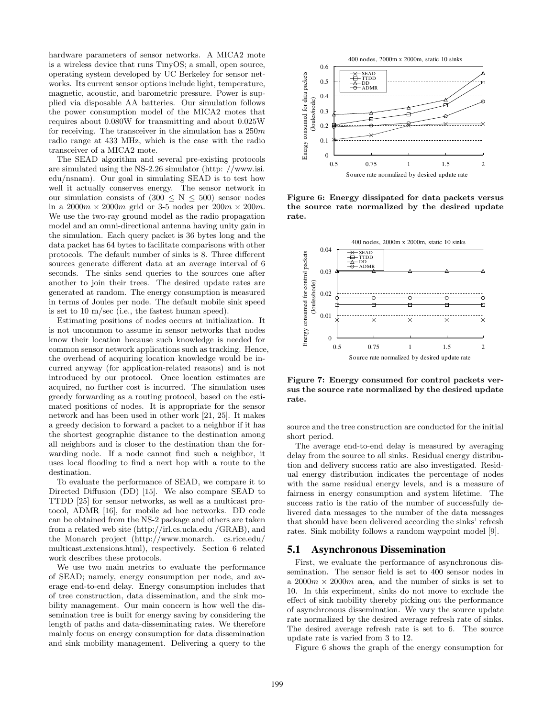hardware parameters of sensor networks. A MICA2 mote is a wireless device that runs TinyOS; a small, open source, operating system developed by UC Berkeley for sensor networks. Its current sensor options include light, temperature, magnetic, acoustic, and barometric pressure. Power is supplied via disposable AA batteries. Our simulation follows the power consumption model of the MICA2 motes that requires about 0.080W for transmitting and about 0.025W for receiving. The transceiver in the simulation has a  $250m$ radio range at 433 MHz, which is the case with the radio transceiver of a MICA2 mote.

The SEAD algorithm and several pre-existing protocols are simulated using the NS-2.26 simulator (http: //www.isi. edu/nsnam). Our goal in simulating SEAD is to test how well it actually conserves energy. The sensor network in our simulation consists of  $(300 \le N \le 500)$  sensor nodes in a  $2000m \times 2000m$  grid or 3-5 nodes per  $200m \times 200m$ . We use the two-ray ground model as the radio propagation model and an omni-directional antenna having unity gain in the simulation. Each query packet is 36 bytes long and the data packet has 64 bytes to facilitate comparisons with other protocols. The default number of sinks is 8. Three different sources generate different data at an average interval of 6 seconds. The sinks send queries to the sources one after another to join their trees. The desired update rates are generated at random. The energy consumption is measured in terms of Joules per node. The default mobile sink speed is set to 10 m/sec (i.e., the fastest human speed).

Estimating positions of nodes occurs at initialization. It is not uncommon to assume in sensor networks that nodes know their location because such knowledge is needed for common sensor network applications such as tracking. Hence, the overhead of acquiring location knowledge would be incurred anyway (for application-related reasons) and is not introduced by our protocol. Once location estimates are acquired, no further cost is incurred. The simulation uses greedy forwarding as a routing protocol, based on the estimated positions of nodes. It is appropriate for the sensor network and has been used in other work [21, 25]. It makes a greedy decision to forward a packet to a neighbor if it has the shortest geographic distance to the destination among all neighbors and is closer to the destination than the forwarding node. If a node cannot find such a neighbor, it uses local flooding to find a next hop with a route to the destination.

To evaluate the performance of SEAD, we compare it to Directed Diffusion (DD) [15]. We also compare SEAD to TTDD [25] for sensor networks, as well as a multicast protocol, ADMR [16], for mobile ad hoc networks. DD code can be obtained from the NS-2 package and others are taken from a related web site (http://irl.cs.ucla.edu /GRAB), and the Monarch project (http://www.monarch. cs.rice.edu/ multicast extensions.html), respectively. Section 6 related work describes these protocols.

We use two main metrics to evaluate the performance of SEAD; namely, energy consumption per node, and average end-to-end delay. Energy consumption includes that of tree construction, data dissemination, and the sink mobility management. Our main concern is how well the dissemination tree is built for energy saving by considering the length of paths and data-disseminating rates. We therefore mainly focus on energy consumption for data dissemination and sink mobility management. Delivering a query to the



Figure 6: Energy dissipated for data packets versus the source rate normalized by the desired update rate.



Figure 7: Energy consumed for control packets versus the source rate normalized by the desired update rate.

source and the tree construction are conducted for the initial short period.

The average end-to-end delay is measured by averaging delay from the source to all sinks. Residual energy distribution and delivery success ratio are also investigated. Residual energy distribution indicates the percentage of nodes with the same residual energy levels, and is a measure of fairness in energy consumption and system lifetime. The success ratio is the ratio of the number of successfully delivered data messages to the number of the data messages that should have been delivered according the sinks' refresh rates. Sink mobility follows a random waypoint model [9].

#### **5.1 Asynchronous Dissemination**

First, we evaluate the performance of asynchronous dissemination. The sensor field is set to 400 sensor nodes in a  $2000m \times 2000m$  area, and the number of sinks is set to 10. In this experiment, sinks do not move to exclude the effect of sink mobility thereby picking out the performance of asynchronous dissemination. We vary the source update rate normalized by the desired average refresh rate of sinks. The desired average refresh rate is set to 6. The source update rate is varied from 3 to 12.

Figure 6 shows the graph of the energy consumption for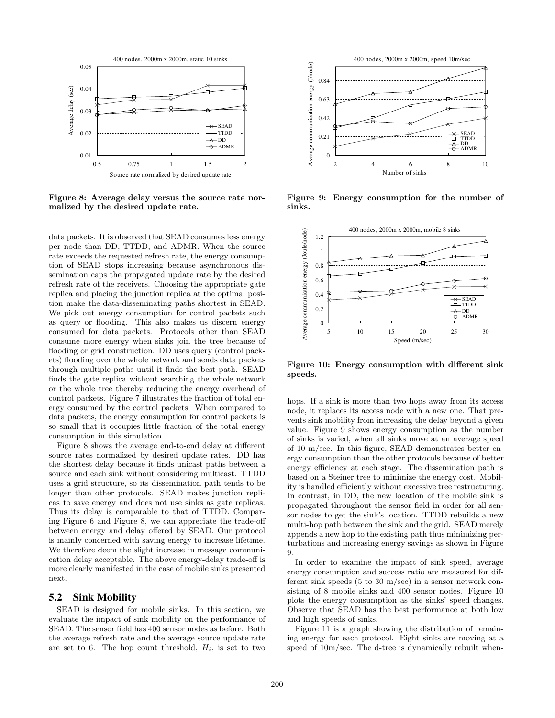

Figure 8: Average delay versus the source rate normalized by the desired update rate.

data packets. It is observed that SEAD consumes less energy per node than DD, TTDD, and ADMR. When the source rate exceeds the requested refresh rate, the energy consumption of SEAD stops increasing because asynchronous dissemination caps the propagated update rate by the desired refresh rate of the receivers. Choosing the appropriate gate replica and placing the junction replica at the optimal position make the data-disseminating paths shortest in SEAD. We pick out energy consumption for control packets such as query or flooding. This also makes us discern energy consumed for data packets. Protocols other than SEAD consume more energy when sinks join the tree because of flooding or grid construction. DD uses query (control packets) flooding over the whole network and sends data packets through multiple paths until it finds the best path. SEAD finds the gate replica without searching the whole network or the whole tree thereby reducing the energy overhead of control packets. Figure 7 illustrates the fraction of total energy consumed by the control packets. When compared to data packets, the energy consumption for control packets is so small that it occupies little fraction of the total energy consumption in this simulation.

Figure 8 shows the average end-to-end delay at different source rates normalized by desired update rates. DD has the shortest delay because it finds unicast paths between a source and each sink without considering multicast. TTDD uses a grid structure, so its dissemination path tends to be longer than other protocols. SEAD makes junction replicas to save energy and does not use sinks as gate replicas. Thus its delay is comparable to that of TTDD. Comparing Figure 6 and Figure 8, we can appreciate the trade-off between energy and delay offered by SEAD. Our protocol is mainly concerned with saving energy to increase lifetime. We therefore deem the slight increase in message communication delay acceptable. The above energy-delay trade-off is more clearly manifested in the case of mobile sinks presented next.

#### **5.2 Sink Mobility**

SEAD is designed for mobile sinks. In this section, we evaluate the impact of sink mobility on the performance of SEAD. The sensor field has 400 sensor nodes as before. Both the average refresh rate and the average source update rate are set to 6. The hop count threshold,  $H_i$ , is set to two



Figure 9: Energy consumption for the number of sinks.



Figure 10: Energy consumption with different sink speeds.

hops. If a sink is more than two hops away from its access node, it replaces its access node with a new one. That prevents sink mobility from increasing the delay beyond a given value. Figure 9 shows energy consumption as the number of sinks is varied, when all sinks move at an average speed of 10 m/sec. In this figure, SEAD demonstrates better energy consumption than the other protocols because of better energy efficiency at each stage. The dissemination path is based on a Steiner tree to minimize the energy cost. Mobility is handled efficiently without excessive tree restructuring. In contrast, in DD, the new location of the mobile sink is propagated throughout the sensor field in order for all sensor nodes to get the sink's location. TTDD rebuilds a new multi-hop path between the sink and the grid. SEAD merely appends a new hop to the existing path thus minimizing perturbations and increasing energy savings as shown in Figure 9.

In order to examine the impact of sink speed, average energy consumption and success ratio are measured for different sink speeds (5 to 30 m/sec) in a sensor network consisting of 8 mobile sinks and 400 sensor nodes. Figure 10 plots the energy consumption as the sinks' speed changes. Observe that SEAD has the best performance at both low and high speeds of sinks.

Figure 11 is a graph showing the distribution of remaining energy for each protocol. Eight sinks are moving at a speed of 10m/sec. The d-tree is dynamically rebuilt when-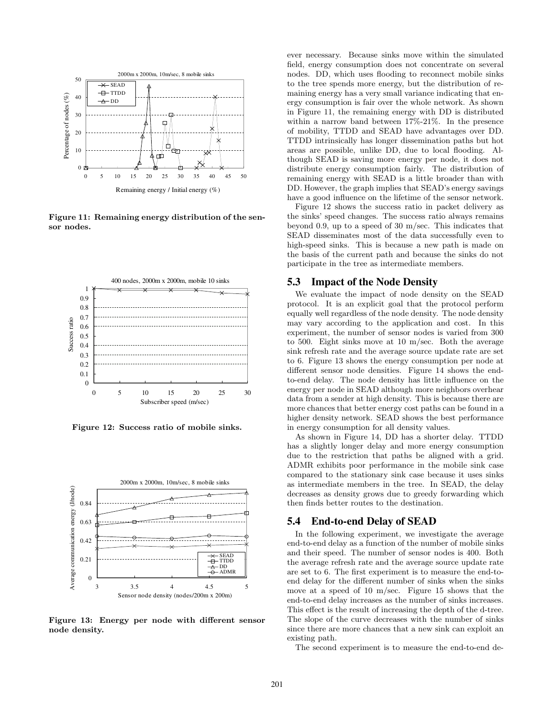

Figure 11: Remaining energy distribution of the sensor nodes.



Figure 12: Success ratio of mobile sinks.



Figure 13: Energy per node with different sensor node density.

ever necessary. Because sinks move within the simulated field, energy consumption does not concentrate on several nodes. DD, which uses flooding to reconnect mobile sinks to the tree spends more energy, but the distribution of remaining energy has a very small variance indicating that energy consumption is fair over the whole network. As shown in Figure 11, the remaining energy with DD is distributed within a narrow band between 17%-21%. In the presence of mobility, TTDD and SEAD have advantages over DD. TTDD intrinsically has longer dissemination paths but hot areas are possible, unlike DD, due to local flooding. Although SEAD is saving more energy per node, it does not distribute energy consumption fairly. The distribution of remaining energy with SEAD is a little broader than with DD. However, the graph implies that SEAD's energy savings have a good influence on the lifetime of the sensor network.

Figure 12 shows the success ratio in packet delivery as the sinks' speed changes. The success ratio always remains beyond 0.9, up to a speed of 30 m/sec. This indicates that SEAD disseminates most of the data successfully even to high-speed sinks. This is because a new path is made on the basis of the current path and because the sinks do not participate in the tree as intermediate members.

#### **5.3 Impact of the Node Density**

We evaluate the impact of node density on the SEAD protocol. It is an explicit goal that the protocol perform equally well regardless of the node density. The node density may vary according to the application and cost. In this experiment, the number of sensor nodes is varied from 300 to 500. Eight sinks move at 10 m/sec. Both the average sink refresh rate and the average source update rate are set to 6. Figure 13 shows the energy consumption per node at different sensor node densities. Figure 14 shows the endto-end delay. The node density has little influence on the energy per node in SEAD although more neighbors overhear data from a sender at high density. This is because there are more chances that better energy cost paths can be found in a higher density network. SEAD shows the best performance in energy consumption for all density values.

As shown in Figure 14, DD has a shorter delay. TTDD has a slightly longer delay and more energy consumption due to the restriction that paths be aligned with a grid. ADMR exhibits poor performance in the mobile sink case compared to the stationary sink case because it uses sinks as intermediate members in the tree. In SEAD, the delay decreases as density grows due to greedy forwarding which then finds better routes to the destination.

#### **5.4 End-to-end Delay of SEAD**

In the following experiment, we investigate the average end-to-end delay as a function of the number of mobile sinks and their speed. The number of sensor nodes is 400. Both the average refresh rate and the average source update rate are set to 6. The first experiment is to measure the end-toend delay for the different number of sinks when the sinks move at a speed of 10 m/sec. Figure 15 shows that the end-to-end delay increases as the number of sinks increases. This effect is the result of increasing the depth of the d-tree. The slope of the curve decreases with the number of sinks since there are more chances that a new sink can exploit an existing path.

The second experiment is to measure the end-to-end de-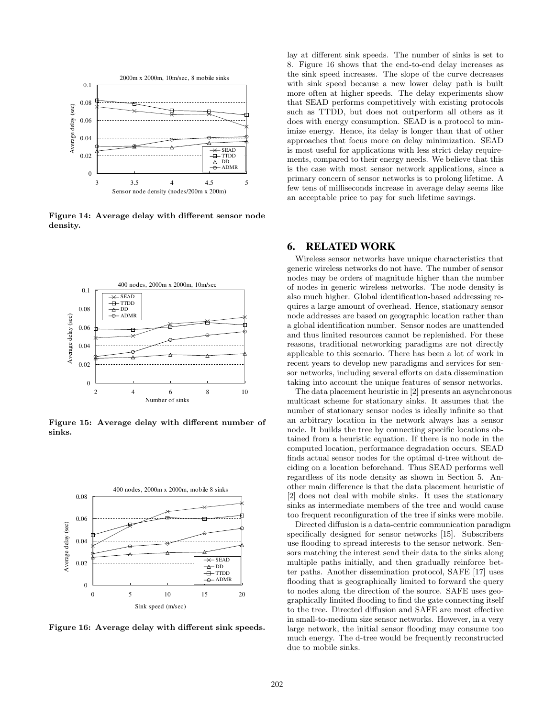

Figure 14: Average delay with different sensor node density.



Figure 15: Average delay with different number of sinks.



Figure 16: Average delay with different sink speeds.

lay at different sink speeds. The number of sinks is set to 8. Figure 16 shows that the end-to-end delay increases as the sink speed increases. The slope of the curve decreases with sink speed because a new lower delay path is built more often at higher speeds. The delay experiments show that SEAD performs competitively with existing protocols such as TTDD, but does not outperform all others as it does with energy consumption. SEAD is a protocol to minimize energy. Hence, its delay is longer than that of other approaches that focus more on delay minimization. SEAD is most useful for applications with less strict delay requirements, compared to their energy needs. We believe that this is the case with most sensor network applications, since a primary concern of sensor networks is to prolong lifetime. A few tens of milliseconds increase in average delay seems like an acceptable price to pay for such lifetime savings.

## **6. RELATED WORK**

Wireless sensor networks have unique characteristics that generic wireless networks do not have. The number of sensor nodes may be orders of magnitude higher than the number of nodes in generic wireless networks. The node density is also much higher. Global identification-based addressing requires a large amount of overhead. Hence, stationary sensor node addresses are based on geographic location rather than a global identification number. Sensor nodes are unattended and thus limited resources cannot be replenished. For these reasons, traditional networking paradigms are not directly applicable to this scenario. There has been a lot of work in recent years to develop new paradigms and services for sensor networks, including several efforts on data dissemination taking into account the unique features of sensor networks.

The data placement heuristic in [2] presents an asynchronous multicast scheme for stationary sinks. It assumes that the number of stationary sensor nodes is ideally infinite so that an arbitrary location in the network always has a sensor node. It builds the tree by connecting specific locations obtained from a heuristic equation. If there is no node in the computed location, performance degradation occurs. SEAD finds actual sensor nodes for the optimal d-tree without deciding on a location beforehand. Thus SEAD performs well regardless of its node density as shown in Section 5. Another main difference is that the data placement heuristic of [2] does not deal with mobile sinks. It uses the stationary sinks as intermediate members of the tree and would cause too frequent reconfiguration of the tree if sinks were mobile.

Directed diffusion is a data-centric communication paradigm specifically designed for sensor networks [15]. Subscribers use flooding to spread interests to the sensor network. Sensors matching the interest send their data to the sinks along multiple paths initially, and then gradually reinforce better paths. Another dissemination protocol, SAFE [17] uses flooding that is geographically limited to forward the query to nodes along the direction of the source. SAFE uses geographically limited flooding to find the gate connecting itself to the tree. Directed diffusion and SAFE are most effective in small-to-medium size sensor networks. However, in a very large network, the initial sensor flooding may consume too much energy. The d-tree would be frequently reconstructed due to mobile sinks.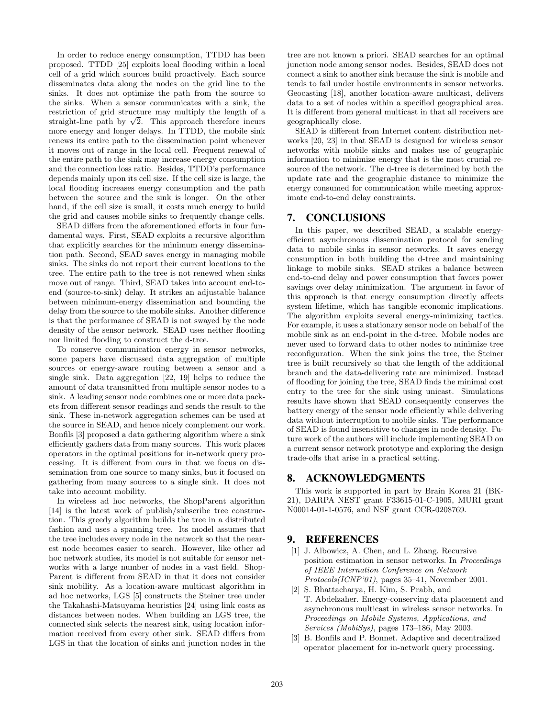In order to reduce energy consumption, TTDD has been proposed. TTDD [25] exploits local flooding within a local cell of a grid which sources build proactively. Each source disseminates data along the nodes on the grid line to the sinks. It does not optimize the path from the source to the sinks. When a sensor communicates with a sink, the restriction of grid structure may multiply the length of a straight-line path by  $\sqrt{2}$ . This approach therefore incurs more energy and longer delays. In TTDD, the mobile sink renews its entire path to the dissemination point whenever it moves out of range in the local cell. Frequent renewal of the entire path to the sink may increase energy consumption and the connection loss ratio. Besides, TTDD's performance depends mainly upon its cell size. If the cell size is large, the local flooding increases energy consumption and the path between the source and the sink is longer. On the other hand, if the cell size is small, it costs much energy to build the grid and causes mobile sinks to frequently change cells.

SEAD differs from the aforementioned efforts in four fundamental ways. First, SEAD exploits a recursive algorithm that explicitly searches for the minimum energy dissemination path. Second, SEAD saves energy in managing mobile sinks. The sinks do not report their current locations to the tree. The entire path to the tree is not renewed when sinks move out of range. Third, SEAD takes into account end-toend (source-to-sink) delay. It strikes an adjustable balance between minimum-energy dissemination and bounding the delay from the source to the mobile sinks. Another difference is that the performance of SEAD is not swayed by the node density of the sensor network. SEAD uses neither flooding nor limited flooding to construct the d-tree.

To conserve communication energy in sensor networks, some papers have discussed data aggregation of multiple sources or energy-aware routing between a sensor and a single sink. Data aggregation [22, 19] helps to reduce the amount of data transmitted from multiple sensor nodes to a sink. A leading sensor node combines one or more data packets from different sensor readings and sends the result to the sink. These in-network aggregation schemes can be used at the source in SEAD, and hence nicely complement our work. Bonfils [3] proposed a data gathering algorithm where a sink efficiently gathers data from many sources. This work places operators in the optimal positions for in-network query processing. It is different from ours in that we focus on dissemination from one source to many sinks, but it focused on gathering from many sources to a single sink. It does not take into account mobility.

In wireless ad hoc networks, the ShopParent algorithm [14] is the latest work of publish/subscribe tree construction. This greedy algorithm builds the tree in a distributed fashion and uses a spanning tree. Its model assumes that the tree includes every node in the network so that the nearest node becomes easier to search. However, like other ad hoc network studies, its model is not suitable for sensor networks with a large number of nodes in a vast field. Shop-Parent is different from SEAD in that it does not consider sink mobility. As a location-aware multicast algorithm in ad hoc networks, LGS [5] constructs the Steiner tree under the Takahashi-Matsuyama heuristics [24] using link costs as distances between nodes. When building an LGS tree, the connected sink selects the nearest sink, using location information received from every other sink. SEAD differs from LGS in that the location of sinks and junction nodes in the tree are not known a priori. SEAD searches for an optimal junction node among sensor nodes. Besides, SEAD does not connect a sink to another sink because the sink is mobile and tends to fail under hostile environments in sensor networks. Geocasting [18], another location-aware multicast, delivers data to a set of nodes within a specified geographical area. It is different from general multicast in that all receivers are geographically close.

SEAD is different from Internet content distribution networks [20, 23] in that SEAD is designed for wireless sensor networks with mobile sinks and makes use of geographic information to minimize energy that is the most crucial resource of the network. The d-tree is determined by both the update rate and the geographic distance to minimize the energy consumed for communication while meeting approximate end-to-end delay constraints.

## **7. CONCLUSIONS**

In this paper, we described SEAD, a scalable energyefficient asynchronous dissemination protocol for sending data to mobile sinks in sensor networks. It saves energy consumption in both building the d-tree and maintaining linkage to mobile sinks. SEAD strikes a balance between end-to-end delay and power consumption that favors power savings over delay minimization. The argument in favor of this approach is that energy consumption directly affects system lifetime, which has tangible economic implications. The algorithm exploits several energy-minimizing tactics. For example, it uses a stationary sensor node on behalf of the mobile sink as an end-point in the d-tree. Mobile nodes are never used to forward data to other nodes to minimize tree reconfiguration. When the sink joins the tree, the Steiner tree is built recursively so that the length of the additional branch and the data-delivering rate are minimized. Instead of flooding for joining the tree, SEAD finds the minimal cost entry to the tree for the sink using unicast. Simulations results have shown that SEAD consequently conserves the battery energy of the sensor node efficiently while delivering data without interruption to mobile sinks. The performance of SEAD is found insensitive to changes in node density. Future work of the authors will include implementing SEAD on a current sensor network prototype and exploring the design trade-offs that arise in a practical setting.

# **8. ACKNOWLEDGMENTS**

This work is supported in part by Brain Korea 21 (BK-21), DARPA NEST grant F33615-01-C-1905, MURI grant N00014-01-1-0576, and NSF grant CCR-0208769.

#### **9. REFERENCES**

- [1] J. Albowicz, A. Chen, and L. Zhang. Recursive position estimation in sensor networks. In *Proceedings of IEEE Internation Conference on Network Protocols(ICNP'01)*, pages 35–41, November 2001.
- [2] S. Bhattacharya, H. Kim, S. Prabh, and T. Abdelzaher. Energy-conserving data placement and asynchronous multicast in wireless sensor networks. In *Proceedings on Mobile Systems, Applications, and Services (MobiSys)*, pages 173–186, May 2003.
- [3] B. Bonfils and P. Bonnet. Adaptive and decentralized operator placement for in-network query processing.